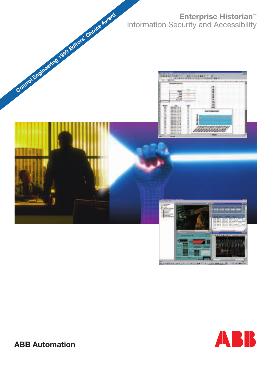**Enterprise Historian™** Information Security and Accessibility





**ABB Automation**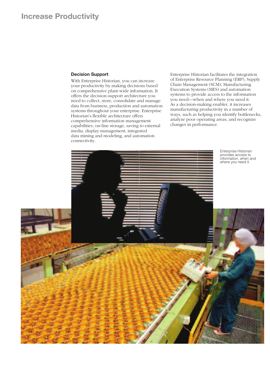#### **Decision Support**

With Enterprise Historian, you can increase your productivity by making decisions based on comprehensive plant-wide information. It offers the decision-support architecture you need to collect, store, consolidate and manage data from business, production and automation systems throughout your enterprise. Enterprise Historian's flexible architecture offers comprehensive information management capabilities, on-line storage, saving to external media, display management, integrated data mining and modeling, and automation connectivity.

Enterprise Historian facilitates the integration of Enterprise Resource Planning (ERP), Supply Chain Management (SCM), Manufacturing Execution Systems (MES) and automation systems to provide access to the information you need—when and where you need it. As a decision-making enabler, it increases manufacturing productivity in a number of ways, such as helping you identify bottlenecks, analyze poor operating areas, and recognize changes in performance.

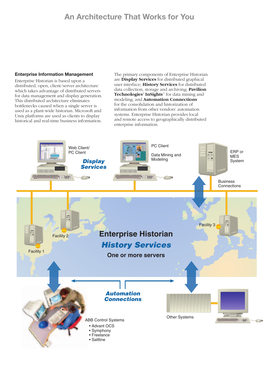## **An Architecture That Works for You**

#### **Enterprise Information Management**

Enterprise Historian is based upon a distributed, open, client/server architecture which takes advantage of distributed servers for data management and display generation. This distributed architecture eliminates bottlenecks caused when a single server is used as a plant-wide historian. Microsoft and Unix platforms are used as clients to display historical and real-time business information.

The primary components of Enterprise Historian are **Display Services** for distributed graphical user interface; **History Services** for distributed data collection, storage and archiving; **Pavilion Technologies' InSights™** for data mining and modeling; and **Automation Connections** for the consolidation and historization of information from other vendors' automation systems. Enterprise Historian provides local and remote access to geographically distributed enterprise information.

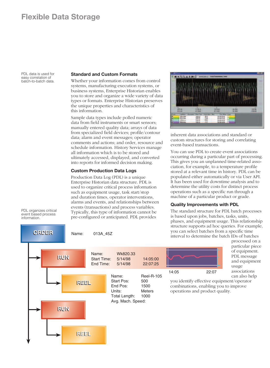## **Flexible Data Storage**

PDL data is used for easy correlation of batch-to-batch data.

#### **Standard and Custom Formats**

Whether your information comes from control systems, manufacturing execution systems, or business systems, Enterprise Historian enables you to store and organize a wide variety of data types or formats. Enterprise Historian preserves the unique properties and characteristics of this information.

Sample data types include polled numeric data from field instruments or smart sensors; manually entered quality data; arrays of data from specialized field devices; profile/contour data; alarm and event messages; operator comments and actions; and order, resource and schedule information. History Services manage all information which is to be stored and ultimately accessed, displayed, and converted into reports for informed decision making.

### **Custom Production Data Logs**

Name: 013A\_45Z

Production Data Log (PDL) is a unique Enterprise Historian data structure. PDL is used to organize critical process information such as equipment usage, task start/stop and duration times, operator interventions, alarms and events, and relationships between events (transactions) and process variables. Typically, this type of information cannot be pre-configured or anticipated. PDL provides

inherent data associations and standard or custom structures for storing and correlating event-based transactions.

You can use PDL to create event associations occurring during a particular part of processing. This gives you an unplanned time-related association, for example, to a temperature profile stored at a relevant time in history. PDL can be populated either automatically or via User API. It has been used for downtime analysis and to determine the utility costs for distinct process operations such as a specific run through a machine of a particular product or grade.

#### **Quality Improvements with PDL**

The standard structure for PDL batch processes is based upon jobs, batches, tasks, units, phases, and equipment usage. This relationship structure supports ad hoc queries. For example, you can select batches from a specific time interval to determine the batch IDs of batches

> processed on a particular piece of equipment. PDL message and equipment

usage associations can also help



PDL organizes critical event based process information.

**ORDER ORDER**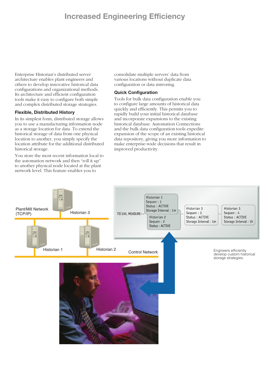# **Increased Engineering Efficiency**

Enterprise Historian's distributed server architecture enables plant engineers and others to develop innovative historical data configurations and organizational methods. Its architecture and efficient configuration tools make it easy to configure both simple and complex distributed storage strategies.

### **Flexible, Distributed History**

In its simplest form, distributed storage allows you to use a manufacturing information node as a storage location for data. To extend the historical storage of data from one physical location to another, you simply specify the location attribute for the additional distributed historical storage.

You store the most recent information local to the automation network and then "roll it up" to another physical node located at the plant network level. This feature enables you to

consolidate multiple servers' data from various locations without duplicate data configuration or data mirroring.

### **Quick Configuration**

Tools for bulk data configuration enable you to configure large amounts of historical data quickly and efficiently. This permits you to rapidly build your initial historical database and incorporate expansions to the existing historical database. Automation Connections and the bulk data configuration tools expedite expansion of the scope of an existing historical data repository, giving you more information to make enterprise-wide decisions that result in improved productivity.

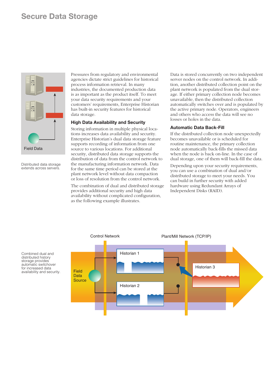

Distributed data storage extends across servers.

Pressures from regulatory and environmental agencies dictate strict guidelines for historical process information retrieval. In many industries, the documented production data is as important as the product itself. To meet your data security requirements and your customers' requirements, Enterprise Historian has built-in security features for historical data storage.

### **High Data Availability and Security**

Storing information in multiple physical locations increases data availability and security. Enterprise Historian's dual data storage feature supports recording of information from one source to various locations. For additional security, distributed data storage supports the distribution of data from the control network to the manufacturing information network. Data for the same time period can be stored at the plant network level without data compaction or loss of resolution from the control network.

The combination of dual and distributed storage provides additional security and high data availability without complicated configuration, as the following example illustrates.

Data is stored concurrently on two independent server nodes on the control network. In addition, another distributed collection point on the plant network is populated from the dual storage. If either primary collection node becomes unavailable, then the distributed collection automatically switches over and is populated by the active primary node. Operators, engineers and others who access the data will see no losses or holes in the data.

#### **Automatic Data Back-Fill**

If the distributed collection node unexpectedly becomes unavailable or is scheduled for routine maintenance, the primary collection node automatically back-fills the missed data when the node is back on-line. In the case of dual storage, one of them will back-fill the data.

Depending upon your security requirements, you can use a combination of dual and/or distributed storage to meet your needs. You can build in further security with added hardware using Redundant Arrays of Independent Disks (RAID).



Combined dual and distributed history storage provides automatic switchover for increased data availability and security.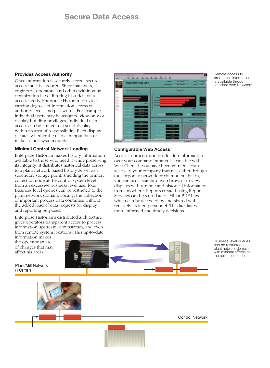### **Secure Data Access**

#### **Provides Access Authority**

Once information is securely stored, secure access must be assured. Since managers, engineers, operators, and others within your organization have differing historical data access needs, Enterprise Historian provides varying degrees of information access via authority levels and passwords. For example, individual users may be assigned view-only or display-building privileges. Individual user access can be limited to a set of displays within an area of responsibility. Each display dictates whether the user can input data or make ad hoc system queries.

#### **Minimal Control Network Loading**

Enterprise Historian makes history information available to those who need it while preserving its integrity. It distributes historical data across to a plant network based history server as a secondary storage point, shielding the primary collection node at the control system level from an excessive business level user load. Business level queries can be restricted to the plant network domain. Locally, the collection of important process data continues without the added load of data requests for display and reporting purposes.

Enterprise Historian's distributed architecture gives operators transparent access to process information upstream, downstream, and even from remote system locations. This up-to-date

information makes



#### **Configurable Web Access**

Access to process and production information over your company Intranet is available with Web Client. If you have been granted secure access to your company Intranet, either through the corporate network or via modem dial-in, you can use a standard web browser to view displays with runtime and historical information from anywhere. Reports created using Report Services can be stored as HTML or PDF files which can be accessed by and shared with remotely located personnel. This facilitates more informed and timely decisions.



Remote access to production information is available through standard web browsers.

Business level queries can be restricted to the plant network domain, with minimal effects on the collection node.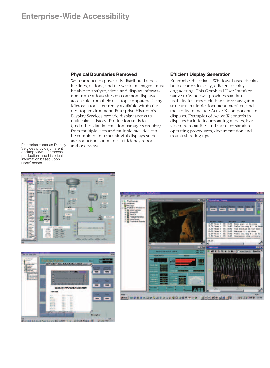## **Enterprise-Wide Accessibility**

#### **Physical Boundaries Removed**

With production physically distributed across facilities, nations, and the world; managers must be able to analyze, view, and display information from various sites on common displays accessible from their desktop computers. Using Microsoft tools, currently available within the desktop environment, Enterprise Historian's Display Services provide display access to multi-plant history. Production statistics (and other vital information managers require) from multiple sites and multiple facilities can be combined into meaningful displays such as production summaries, efficiency reports and overviews.

#### **Efficient Display Generation**

Enterprise Historian's Windows based display builder provides easy, efficient display engineering. This Graphical User Interface, native to Windows, provides standard usability features including a tree navigation structure, multiple document interface, and the ability to include Active X components in displays. Examples of Active X controls in displays include incorporating movies, live video, Acrobat files and more for standard operating procedures, documentation and troubleshooting tips.

Enterprise Historian Display Services provide different desktop views of process, production, and historical information based upon users' needs.





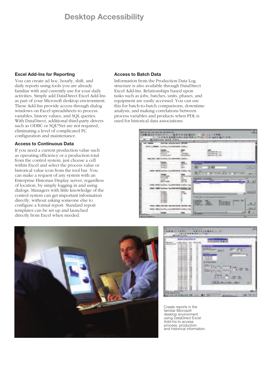## **Desktop Accessibility**

#### **Excel Add-Ins for Reporting**

You can create ad hoc, hourly, shift, and daily reports using tools you are already familiar with and currently use for your daily activities. Simply add DataDirect Excel Add-Ins as part of your Microsoft desktop environment. These Add-Ins provide access through dialog windows on Excel spreadsheets to process variables, history values, and SQL queries. With DataDirect, additional third-party drivers such as ODBC or SQL\*Net are not required, eliminating a level of complicated PC configuration and maintenance.

#### **Access to Continuous Data**

If you need a current production value such as operating efficiency or a production total from the control system, just choose a cell within Excel and select the process value or historical value icon from the tool bar. You can make a request of any system with an Enterprise Historian Display server, regardless of location, by simply logging in and using dialogs. Managers with little knowledge of the control system can get important information directly, without asking someone else to configure a formal report. Standard report templates can be set up and launched directly from Excel when needed.

#### **Access to Batch Data**

Information from the Production Data Log structure is also available through DataDirect Excel Add-Ins. Relationships based upon tasks such as jobs, batches, units, phases, and equipment are easily accessed. You can use this for batch-to-batch comparisons, downtime analysis, and making correlations between process variables and products when PDL is used for historical data associations.







Create reports in the familiar Microsoft desktop environment using DataDirect Excel Add-Ins to access process, production, and historical information.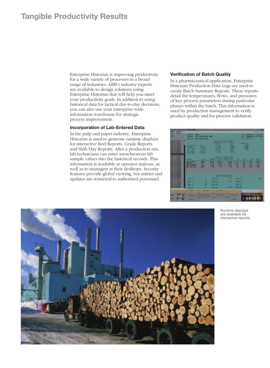Enterprise Historian is improving productivity for a wide variety of processes in a broad range of industries. ABB's industry experts are available to design solutions using Enterprise Historian that will help you meet your productivity goals. In addition to using historical data for tactical day-to-day decisions, you can also use your enterprise-wide information warehouse for strategic process improvement.

#### **Incorporation of Lab-Entered Data**

In the pulp and paper industry, Enterprise Historian is used to generate runtime displays for interactive Reel Reports, Grade Reports and Shift/Day Reports. After a production run, lab technicians can enter asynchronous lab sample values into the historical records. This information is available at operator stations, as well as to managers at their desktops. Security features provide global viewing, but entries and updates are restricted to authorized personnel.

#### **Verification of Batch Quality**

In a pharmaceutical application, Enterprise Historian Production Data Logs are used to create Batch Summary Reports. These reports detail the temperatures, flows, and pressures of key process parameters during particular phases within the batch. This information is used by production management to verify product quality and for process validation.





Runtime displays are available for interactive reports.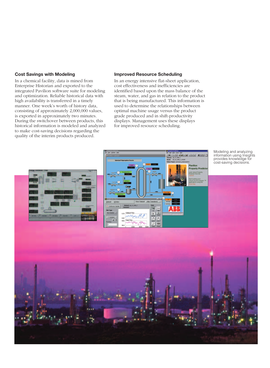#### **Cost Savings with Modeling**

In a chemical facility, data is mined from Enterprise Historian and exported to the integrated Pavilion software suite for modeling and optimization. Reliable historical data with high availability is transferred in a timely manner. One week's worth of history data, consisting of approximately 2,000,000 values, is exported in approximately two minutes. During the switchover between products, this historical information is modeled and analyzed to make cost-saving decisions regarding the quality of the interim products produced.

#### **Improved Resource Scheduling**

In an energy intensive flat-sheet application, cost effectiveness and inefficiencies are identified based upon the mass balance of the steam, water, and gas in relation to the product that is being manufactured. This information is used to determine the relationships between optimal machine usage versus the product grade produced and in shift-productivity displays. Management uses these displays for improved resource scheduling.